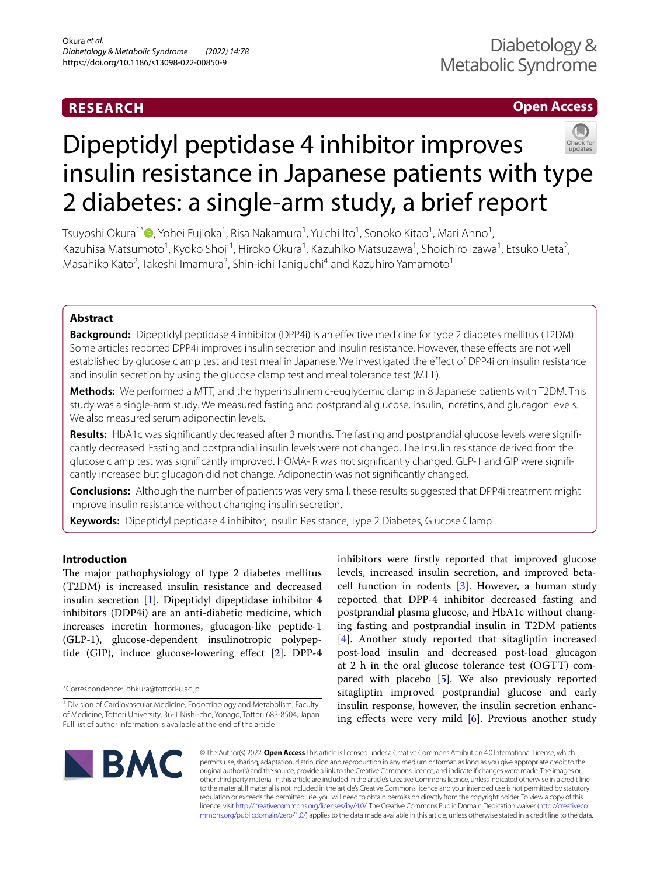# **RESEARCH**

# **Open Access**



# Dipeptidyl peptidase 4 inhibitor improves insulin resistance in Japanese patients with type 2 diabetes: a single-arm study, a brief report

Tsuyoshi Okura<sup>1\*</sup>®[,](http://orcid.org/0000-0003-3713-6617) Yohei Fujioka<sup>1</sup>, Risa Nakamura<sup>1</sup>, Yuichi Ito<sup>1</sup>, Sonoko Kitao<sup>1</sup>, Mari Anno<sup>1</sup>, Kazuhisa Matsumoto<sup>1</sup>, Kyoko Shoji<sup>1</sup>, Hiroko Okura<sup>1</sup>, Kazuhiko Matsuzawa<sup>1</sup>, Shoichiro Izawa<sup>1</sup>, Etsuko Ueta<sup>2</sup>, Masahiko Kato<sup>2</sup>, Takeshi Imamura<sup>3</sup>, Shin-ichi Taniguchi<sup>4</sup> and Kazuhiro Yamamoto<sup>1</sup>

# **Abstract**

**Background:** Dipeptidyl peptidase 4 inhibitor (DPP4i) is an efective medicine for type 2 diabetes mellitus (T2DM). Some articles reported DPP4i improves insulin secretion and insulin resistance. However, these efects are not well established by glucose clamp test and test meal in Japanese. We investigated the efect of DPP4i on insulin resistance and insulin secretion by using the glucose clamp test and meal tolerance test (MTT).

**Methods:** We performed a MTT, and the hyperinsulinemic-euglycemic clamp in 8 Japanese patients with T2DM. This study was a single-arm study. We measured fasting and postprandial glucose, insulin, incretins, and glucagon levels. We also measured serum adiponectin levels.

Results: HbA1c was significantly decreased after 3 months. The fasting and postprandial glucose levels were significantly decreased. Fasting and postprandial insulin levels were not changed. The insulin resistance derived from the glucose clamp test was significantly improved. HOMA-IR was not significantly changed. GLP-1 and GIP were significantly increased but glucagon did not change. Adiponectin was not signifcantly changed.

**Conclusions:** Although the number of patients was very small, these results suggested that DPP4i treatment might improve insulin resistance without changing insulin secretion.

**Keywords:** Dipeptidyl peptidase 4 inhibitor, Insulin Resistance, Type 2 Diabetes, Glucose Clamp

# **Introduction**

The major pathophysiology of type 2 diabetes mellitus (T2DM) is increased insulin resistance and decreased insulin secretion [\[1](#page-4-0)]. Dipeptidyl dipeptidase inhibitor 4 inhibitors (DDP4i) are an anti-diabetic medicine, which increases incretin hormones, glucagon-like peptide-1 (GLP-1), glucose-dependent insulinotropic polypep-tide (GIP), induce glucose-lowering effect [[2\]](#page-4-1). DPP-4

inhibitors were frstly reported that improved glucose levels, increased insulin secretion, and improved betacell function in rodents [\[3](#page-4-2)]. However, a human study reported that DPP-4 inhibitor decreased fasting and postprandial plasma glucose, and HbA1c without changing fasting and postprandial insulin in T2DM patients [[4\]](#page-4-3). Another study reported that sitagliptin increased post-load insulin and decreased post-load glucagon at 2 h in the oral glucose tolerance test (OGTT) compared with placebo [[5\]](#page-4-4). We also previously reported sitagliptin improved postprandial glucose and early insulin response, however, the insulin secretion enhancing efects were very mild [\[6](#page-4-5)]. Previous another study



© The Author(s) 2022. **Open Access** This article is licensed under a Creative Commons Attribution 4.0 International License, which permits use, sharing, adaptation, distribution and reproduction in any medium or format, as long as you give appropriate credit to the original author(s) and the source, provide a link to the Creative Commons licence, and indicate if changes were made. The images or other third party material in this article are included in the article's Creative Commons licence, unless indicated otherwise in a credit line to the material. If material is not included in the article's Creative Commons licence and your intended use is not permitted by statutory regulation or exceeds the permitted use, you will need to obtain permission directly from the copyright holder. To view a copy of this licence, visit [http://creativecommons.org/licenses/by/4.0/.](http://creativecommons.org/licenses/by/4.0/) The Creative Commons Public Domain Dedication waiver ([http://creativeco](http://creativecommons.org/publicdomain/zero/1.0/) [mmons.org/publicdomain/zero/1.0/](http://creativecommons.org/publicdomain/zero/1.0/)) applies to the data made available in this article, unless otherwise stated in a credit line to the data.

<sup>\*</sup>Correspondence: ohkura@tottori-u.ac.jp

<sup>&</sup>lt;sup>1</sup> Division of Cardiovascular Medicine, Endocrinology and Metabolism, Faculty of Medicine, Tottori University, 36‑1 Nishi‑cho, Yonago, Tottori 683‑8504, Japan Full list of author information is available at the end of the article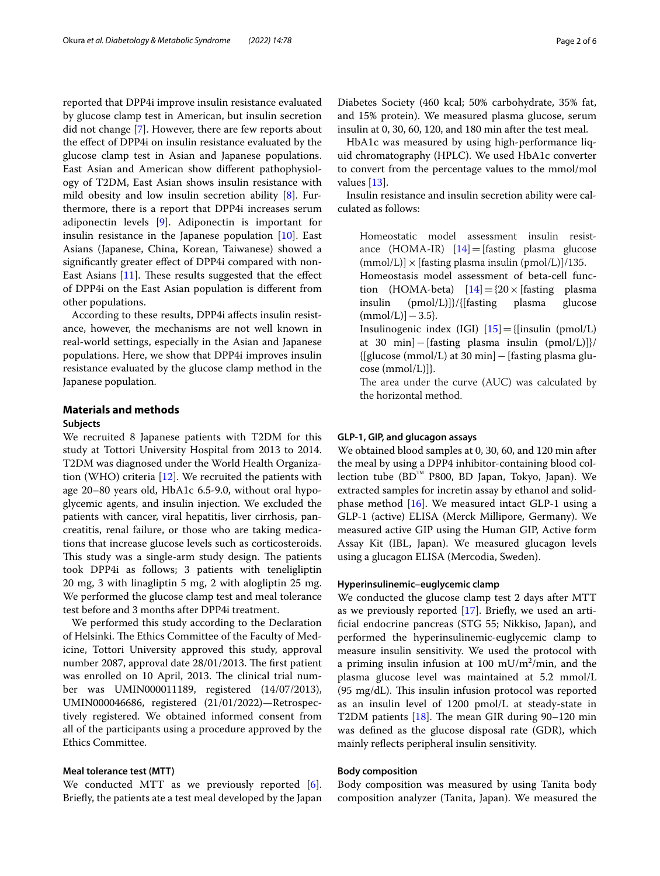reported that DPP4i improve insulin resistance evaluated by glucose clamp test in American, but insulin secretion did not change [[7\]](#page-4-6). However, there are few reports about the efect of DPP4i on insulin resistance evaluated by the glucose clamp test in Asian and Japanese populations. East Asian and American show diferent pathophysiology of T2DM, East Asian shows insulin resistance with mild obesity and low insulin secretion ability [[8](#page-4-7)]. Furthermore, there is a report that DPP4i increases serum adiponectin levels [[9\]](#page-4-8). Adiponectin is important for insulin resistance in the Japanese population [[10\]](#page-4-9). East Asians (Japanese, China, Korean, Taiwanese) showed a signifcantly greater efect of DPP4i compared with non-East Asians  $[11]$  $[11]$  $[11]$ . These results suggested that the effect of DPP4i on the East Asian population is diferent from other populations.

According to these results, DPP4i afects insulin resistance, however, the mechanisms are not well known in real-world settings, especially in the Asian and Japanese populations. Here, we show that DPP4i improves insulin resistance evaluated by the glucose clamp method in the Japanese population.

# **Materials and methods**

#### **Subjects**

We recruited 8 Japanese patients with T2DM for this study at Tottori University Hospital from 2013 to 2014. T2DM was diagnosed under the World Health Organization (WHO) criteria [\[12](#page-4-11)]. We recruited the patients with age 20–80 years old, HbA1c 6.5-9.0, without oral hypoglycemic agents, and insulin injection. We excluded the patients with cancer, viral hepatitis, liver cirrhosis, pancreatitis, renal failure, or those who are taking medications that increase glucose levels such as corticosteroids. This study was a single-arm study design. The patients took DPP4i as follows; 3 patients with teneligliptin 20 mg, 3 with linagliptin 5 mg, 2 with alogliptin 25 mg. We performed the glucose clamp test and meal tolerance test before and 3 months after DPP4i treatment.

We performed this study according to the Declaration of Helsinki. The Ethics Committee of the Faculty of Medicine, Tottori University approved this study, approval number 2087, approval date 28/01/2013. The first patient was enrolled on 10 April, 2013. The clinical trial number was UMIN000011189, registered (14/07/2013), UMIN000046686, registered (21/01/2022)—Retrospectively registered. We obtained informed consent from all of the participants using a procedure approved by the Ethics Committee.

### **Meal tolerance test (MTT)**

We conducted MTT as we previously reported [\[6](#page-4-5)]. Briefy, the patients ate a test meal developed by the Japan Diabetes Society (460 kcal; 50% carbohydrate, 35% fat, and 15% protein). We measured plasma glucose, serum insulin at 0, 30, 60, 120, and 180 min after the test meal.

HbA1c was measured by using high-performance liquid chromatography (HPLC). We used HbA1c converter to convert from the percentage values to the mmol/mol values [[13](#page-4-12)].

Insulin resistance and insulin secretion ability were calculated as follows:

Homeostatic model assessment insulin resistance  $(HOMA-IR)$   $[14] = [fasting\; plasma\; glucose]$  $[14] = [fasting\; plasma\; glucose]$  $(mmol/L)] \times [fasting plasma insulin (pmol/L)]/135.$ 

Homeostasis model assessment of beta-cell function (HOMA-beta)  $[14] = {20 \times}$  $[14] = {20 \times}$  $[14] = {20 \times}$  [fasting plasma<br>insulin (pmol/L)]}/{[fasting plasma glucose  $(pmol/L)]$ }/{[fasting]  $(mmol/L)] - 3.5$ }.

Insulinogenic index (IGI)  $[15] = \{$  $[15] = \{$  $[15] = \{$ [insulin (pmol/L)] at 30 min]−[fasting plasma insulin (pmol/L)]}/ {[glucose (mmol/L) at 30 min]−[fasting plasma glucose (mmol/L)]}.

The area under the curve (AUC) was calculated by the horizontal method.

## **GLP‑1, GIP, and glucagon assays**

We obtained blood samples at 0, 30, 60, and 120 min after the meal by using a DPP4 inhibitor-containing blood collection tube (BD™ P800, BD Japan, Tokyo, Japan). We extracted samples for incretin assay by ethanol and solidphase method [[16\]](#page-4-15). We measured intact GLP-1 using a GLP-1 (active) ELISA (Merck Millipore, Germany). We measured active GIP using the Human GIP, Active form Assay Kit (IBL, Japan). We measured glucagon levels using a glucagon ELISA (Mercodia, Sweden).

# **Hyperinsulinemic–euglycemic clamp**

We conducted the glucose clamp test 2 days after MTT as we previously reported [\[17](#page-4-16)]. Briefy, we used an artifcial endocrine pancreas (STG 55; Nikkiso, Japan), and performed the hyperinsulinemic-euglycemic clamp to measure insulin sensitivity. We used the protocol with a priming insulin infusion at 100 mU/m<sup>2</sup>/min, and the plasma glucose level was maintained at 5.2 mmol/L  $(95 \text{ mg/dL})$ . This insulin infusion protocol was reported as an insulin level of 1200 pmol/L at steady-state in T2DM patients  $[18]$  $[18]$ . The mean GIR during 90–120 min was defned as the glucose disposal rate (GDR), which mainly refects peripheral insulin sensitivity.

# **Body composition**

Body composition was measured by using Tanita body composition analyzer (Tanita, Japan). We measured the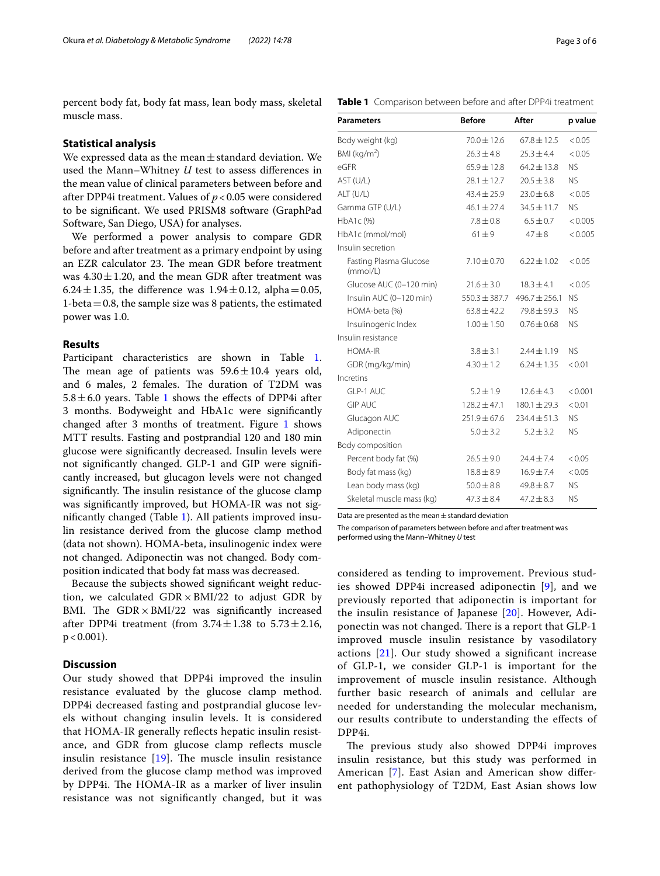percent body fat, body fat mass, lean body mass, skeletal muscle mass.

# **Statistical analysis**

We expressed data as the mean $\pm$ standard deviation. We used the Mann–Whitney *U* test to assess diferences in the mean value of clinical parameters between before and after DPP4i treatment. Values of *p*<0.05 were considered to be signifcant. We used PRISM8 software (GraphPad Software, San Diego, USA) for analyses.

We performed a power analysis to compare GDR before and after treatment as a primary endpoint by using an EZR calculator 23. The mean GDR before treatment was  $4.30 \pm 1.20$ , and the mean GDR after treatment was 6.24 $\pm$ 1.35, the difference was 1.94 $\pm$ 0.12, alpha=0.05, 1-beta  $=0.8$ , the sample size was 8 patients, the estimated power was 1.0.

# **Results**

Participant characteristics are shown in Table [1](#page-2-0). The mean age of patients was  $59.6 \pm 10.4$  years old, and 6 males, 2 females. The duration of T2DM was  $5.8 \pm 6.0$  years. Table [1](#page-2-0) shows the effects of DPP4i after 3 months. Bodyweight and HbA1c were signifcantly changed after 3 months of treatment. Figure [1](#page-3-0) shows MTT results. Fasting and postprandial 120 and 180 min glucose were signifcantly decreased. Insulin levels were not signifcantly changed. GLP-1 and GIP were signifcantly increased, but glucagon levels were not changed significantly. The insulin resistance of the glucose clamp was signifcantly improved, but HOMA-IR was not signifcantly changed (Table [1](#page-2-0)). All patients improved insulin resistance derived from the glucose clamp method (data not shown). HOMA-beta, insulinogenic index were not changed. Adiponectin was not changed. Body composition indicated that body fat mass was decreased.

Because the subjects showed signifcant weight reduction, we calculated  $GDR \times BMI/22$  to adjust  $GDR$  by BMI. The  $GDR \times BMI/22$  was significantly increased after DPP4i treatment (from  $3.74 \pm 1.38$  to  $5.73 \pm 2.16$ ,  $p < 0.001$ ).

# **Discussion**

Our study showed that DPP4i improved the insulin resistance evaluated by the glucose clamp method. DPP4i decreased fasting and postprandial glucose levels without changing insulin levels. It is considered that HOMA-IR generally reflects hepatic insulin resistance, and GDR from glucose clamp refects muscle insulin resistance  $[19]$  $[19]$  $[19]$ . The muscle insulin resistance derived from the glucose clamp method was improved by DPP4i. The HOMA-IR as a marker of liver insulin resistance was not signifcantly changed, but it was

| Page 3 of 6 |  |  |
|-------------|--|--|
|             |  |  |

<span id="page-2-0"></span>

| <b>Parameters</b>                  | <b>Before</b>     | After             | p value   |
|------------------------------------|-------------------|-------------------|-----------|
| Body weight (kg)                   | $70.0 \pm 12.6$   | $67.8 \pm 12.5$   | < 0.05    |
| BMI ( $kg/m2$ )                    | $26.3 \pm 4.8$    | $25.3 \pm 4.4$    | < 0.05    |
| eGFR                               | $65.9 \pm 12.8$   | $64.2 \pm 13.8$   | <b>NS</b> |
| AST (U/L)                          | $28.1 \pm 12.7$   | $20.5 \pm 3.8$    | <b>NS</b> |
| ALT (U/L)                          | $43.4 \pm 25.9$   | $23.0 \pm 6.8$    | < 0.05    |
| Gamma GTP (U/L)                    | $46.1 \pm 27.4$   | $34.5 \pm 11.7$   | <b>NS</b> |
| HbA1c(%)                           | $7.8 \pm 0.8$     | $6.5 \pm 0.7$     | < 0.005   |
| HbA1c (mmol/mol)                   | $61 \pm 9$        | $47 + 8$          | < 0.005   |
| Insulin secretion                  |                   |                   |           |
| Fasting Plasma Glucose<br>(mmol/L) | $7.10 \pm 0.70$   | $6.22 \pm 1.02$   | < 0.05    |
| Glucose AUC (0-120 min)            | $21.6 \pm 3.0$    | $18.3 \pm 4.1$    | < 0.05    |
| Insulin AUC (0-120 min)            | $550.3 \pm 387.7$ | $496.7 \pm 256.1$ | <b>NS</b> |
| HOMA-beta (%)                      | $63.8 \pm 42.2$   | $79.8 \pm 59.3$   | NS.       |
| Insulinogenic Index                | $1.00 \pm 1.50$   | $0.76 + 0.68$     | <b>NS</b> |
| Insulin resistance                 |                   |                   |           |
| <b>HOMA-IR</b>                     | $3.8 \pm 3.1$     | $2.44 \pm 1.19$   | <b>NS</b> |
| GDR (mg/kg/min)                    | $4.30 \pm 1.2$    | $6.24 \pm 1.35$   | < 0.01    |
| Incretins                          |                   |                   |           |
| GLP-1 AUC                          | $5.2 \pm 1.9$     | $12.6 \pm 4.3$    | < 0.001   |
| <b>GIP AUC</b>                     | $128.2 \pm 47.1$  | $180.1 \pm 29.3$  | < 0.01    |
| Glucagon AUC                       | $251.9 \pm 67.6$  | $234.4 \pm 51.3$  | <b>NS</b> |
| Adiponectin                        | $5.0 + 3.2$       | $5.2 + 3.2$       | <b>NS</b> |
| Body composition                   |                   |                   |           |
| Percent body fat (%)               | $26.5 \pm 9.0$    | $24.4 \pm 7.4$    | < 0.05    |
| Body fat mass (kg)                 | $18.8 \pm 8.9$    | $16.9 \pm 7.4$    | < 0.05    |
| Lean body mass (kg)                | $50.0 \pm 8.8$    | $49.8 \pm 8.7$    | <b>NS</b> |
| Skeletal muscle mass (kg)          | $47.3 \pm 8.4$    | $47.2 \pm 8.3$    | <b>NS</b> |

Data are presented as the mean $\pm$ standard deviation

The comparison of parameters between before and after treatment was performed using the Mann–Whitney *U* test

considered as tending to improvement. Previous studies showed DPP4i increased adiponectin [[9\]](#page-4-8), and we previously reported that adiponectin is important for the insulin resistance of Japanese [[20\]](#page-5-2). However, Adiponectin was not changed. There is a report that GLP-1 improved muscle insulin resistance by vasodilatory actions [\[21\]](#page-5-3). Our study showed a signifcant increase of GLP-1, we consider GLP-1 is important for the improvement of muscle insulin resistance. Although further basic research of animals and cellular are needed for understanding the molecular mechanism, our results contribute to understanding the efects of DPP4i.

The previous study also showed DPP4i improves insulin resistance, but this study was performed in American [\[7](#page-4-6)]. East Asian and American show diferent pathophysiology of T2DM, East Asian shows low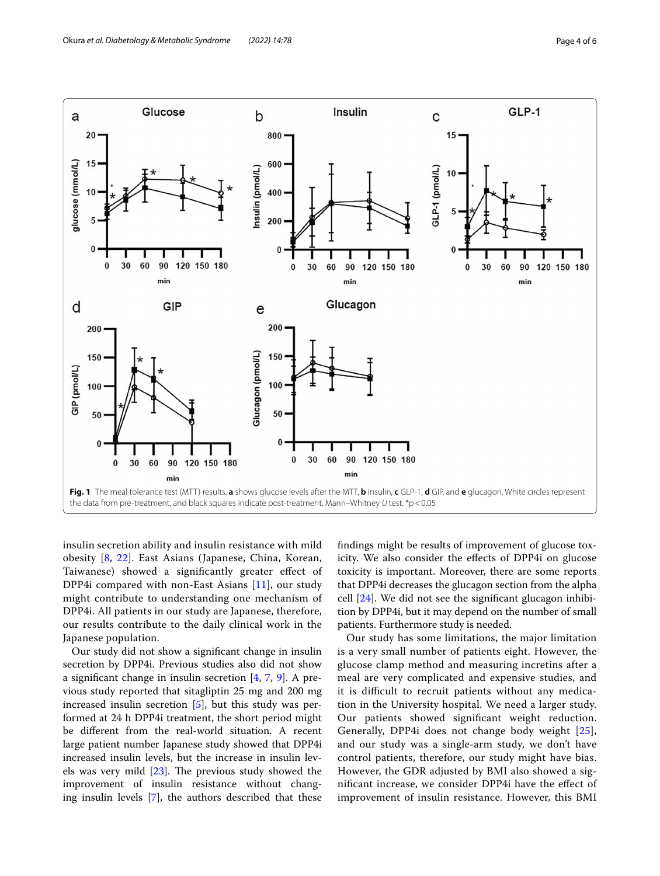

<span id="page-3-0"></span>insulin secretion ability and insulin resistance with mild obesity [[8](#page-4-7), [22\]](#page-5-4). East Asians (Japanese, China, Korean, Taiwanese) showed a signifcantly greater efect of DPP4i compared with non-East Asians [[11\]](#page-4-10), our study might contribute to understanding one mechanism of DPP4i. All patients in our study are Japanese, therefore, our results contribute to the daily clinical work in the Japanese population.

Our study did not show a signifcant change in insulin secretion by DPP4i. Previous studies also did not show a signifcant change in insulin secretion [[4,](#page-4-3) [7](#page-4-6), [9\]](#page-4-8). A previous study reported that sitagliptin 25 mg and 200 mg increased insulin secretion [[5\]](#page-4-4), but this study was performed at 24 h DPP4i treatment, the short period might be diferent from the real-world situation. A recent large patient number Japanese study showed that DPP4i increased insulin levels, but the increase in insulin levels was very mild  $[23]$  $[23]$ . The previous study showed the improvement of insulin resistance without changing insulin levels [\[7](#page-4-6)], the authors described that these fndings might be results of improvement of glucose toxicity. We also consider the efects of DPP4i on glucose toxicity is important. Moreover, there are some reports that DPP4i decreases the glucagon section from the alpha cell [[24\]](#page-5-6). We did not see the signifcant glucagon inhibition by DPP4i, but it may depend on the number of small patients. Furthermore study is needed.

Our study has some limitations, the major limitation is a very small number of patients eight. However, the glucose clamp method and measuring incretins after a meal are very complicated and expensive studies, and it is difficult to recruit patients without any medication in the University hospital. We need a larger study. Our patients showed signifcant weight reduction. Generally, DPP4i does not change body weight [[25](#page-5-7)], and our study was a single-arm study, we don't have control patients, therefore, our study might have bias. However, the GDR adjusted by BMI also showed a signifcant increase, we consider DPP4i have the efect of improvement of insulin resistance. However, this BMI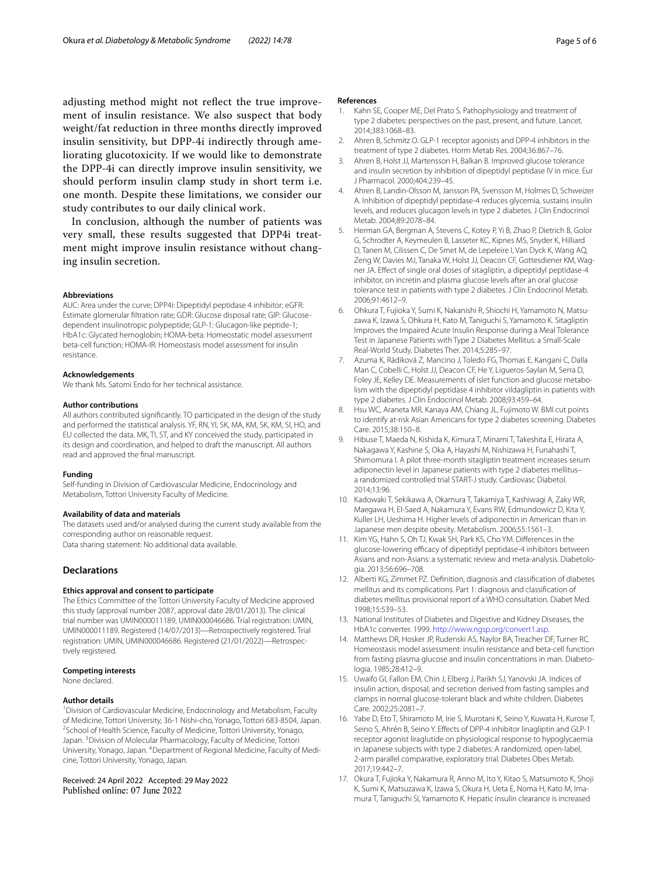adjusting method might not refect the true improvement of insulin resistance. We also suspect that body weight/fat reduction in three months directly improved insulin sensitivity, but DPP-4i indirectly through ameliorating glucotoxicity. If we would like to demonstrate the DPP-4i can directly improve insulin sensitivity, we should perform insulin clamp study in short term i.e. one month. Despite these limitations, we consider our study contributes to our daily clinical work.

In conclusion, although the number of patients was very small, these results suggested that DPP4i treatment might improve insulin resistance without changing insulin secretion.

#### **Abbreviations**

AUC: Area under the curve; DPP4i: Dipeptidyl peptidase 4 inhibitor; eGFR: Estimate glomerular fltration rate; GDR: Glucose disposal rate; GIP: Glucosedependent insulinotropic polypeptide; GLP-1: Glucagon-like peptide-1; HbA1c: Glycated hemoglobin; HOMA-beta: Homeostatic model assessment beta-cell function; HOMA-IR: Homeostasis model assessment for insulin resistance.

#### **Acknowledgements**

We thank Ms. Satomi Endo for her technical assistance.

#### **Author contributions**

All authors contributed signifcantly. TO participated in the design of the study and performed the statistical analysis. YF, RN, YI, SK, MA, KM, SK, KM, SI, HO, and EU collected the data. MK, TI, ST, and KY conceived the study, participated in its design and coordination, and helped to draft the manuscript. All authors read and approved the fnal manuscript.

#### **Funding**

Self-funding in Division of Cardiovascular Medicine, Endocrinology and Metabolism, Tottori University Faculty of Medicine.

#### **Availability of data and materials**

The datasets used and/or analysed during the current study available from the corresponding author on reasonable request. Data sharing statement: No additional data available.

## **Declarations**

#### **Ethics approval and consent to participate**

The Ethics Committee of the Tottori University Faculty of Medicine approved this study (approval number 2087, approval date 28/01/2013). The clinical trial number was UMIN000011189, UMIN000046686. Trial registration: UMIN, UMIN000011189. Registered (14/07/2013)—Retrospectively registered. Trial registration: UMIN, UMIN000046686. Registered (21/01/2022)—Retrospec‑ tively registered.

#### **Competing interests**

None declared.

#### **Author details**

<sup>1</sup> Division of Cardiovascular Medicine, Endocrinology and Metabolism, Faculty of Medicine, Tottori University, 36-1 Nishi-cho, Yonago, Tottori 683-8504, Japan. <sup>2</sup>School of Health Science, Faculty of Medicine, Tottori University, Yonago, Japan.<sup>3</sup> Division of Molecular Pharmacology, Faculty of Medicine, Tottori University, Yonago, Japan. <sup>4</sup> Department of Regional Medicine, Faculty of Medicine, Tottori University, Yonago, Japan.

## Received: 24 April 2022 Accepted: 29 May 2022 Published online: 07 June 2022

#### **References**

- <span id="page-4-0"></span>1. Kahn SE, Cooper ME, Del Prato S. Pathophysiology and treatment of type 2 diabetes: perspectives on the past, present, and future. Lancet. 2014;383:1068–83.
- <span id="page-4-1"></span>2. Ahren B, Schmitz O. GLP-1 receptor agonists and DPP-4 inhibitors in the treatment of type 2 diabetes. Horm Metab Res. 2004;36:867–76.
- <span id="page-4-2"></span>3. Ahren B, Holst JJ, Martensson H, Balkan B. Improved glucose tolerance and insulin secretion by inhibition of dipeptidyl peptidase IV in mice. Eur J Pharmacol. 2000;404:239–45.
- <span id="page-4-3"></span>4. Ahren B, Landin-Olsson M, Jansson PA, Svensson M, Holmes D, Schweizer A. Inhibition of dipeptidyl peptidase-4 reduces glycemia, sustains insulin levels, and reduces glucagon levels in type 2 diabetes. J Clin Endocrinol Metab. 2004;89:2078–84.
- <span id="page-4-4"></span>5. Herman GA, Bergman A, Stevens C, Kotey P, Yi B, Zhao P, Dietrich B, Golor G, Schrodter A, Keymeulen B, Lasseter KC, Kipnes MS, Snyder K, Hilliard D, Tanen M, Cilissen C, De Smet M, de Lepeleire I, Van Dyck K, Wang AQ, Zeng W, Davies MJ, Tanaka W, Holst JJ, Deacon CF, Gottesdiener KM, Wagner JA. Efect of single oral doses of sitagliptin, a dipeptidyl peptidase-4 inhibitor, on incretin and plasma glucose levels after an oral glucose tolerance test in patients with type 2 diabetes. J Clin Endocrinol Metab. 2006;91:4612–9.
- <span id="page-4-5"></span>6. Ohkura T, Fujioka Y, Sumi K, Nakanishi R, Shiochi H, Yamamoto N, Matsuzawa K, Izawa S, Ohkura H, Kato M, Taniguchi S, Yamamoto K. Sitagliptin Improves the Impaired Acute Insulin Response during a Meal Tolerance Test in Japanese Patients with Type 2 Diabetes Mellitus: a Small-Scale Real-World Study. Diabetes Ther. 2014;5:285–97.
- <span id="page-4-6"></span>7. Azuma K, Rádiková Z, Mancino J, Toledo FG, Thomas E, Kangani C, Dalla Man C, Cobelli C, Holst JJ, Deacon CF, He Y, Ligueros-Saylan M, Serra D, Foley JE, Kelley DE. Measurements of islet function and glucose metabolism with the dipeptidyl peptidase 4 inhibitor vildagliptin in patients with type 2 diabetes. J Clin Endocrinol Metab. 2008;93:459–64.
- <span id="page-4-7"></span>8. Hsu WC, Araneta MR, Kanaya AM, Chiang JL, Fujimoto W. BMI cut points to identify at-risk Asian Americans for type 2 diabetes screening. Diabetes Care. 2015;38:150–8.
- <span id="page-4-8"></span>9. Hibuse T, Maeda N, Kishida K, Kimura T, Minami T, Takeshita E, Hirata A, Nakagawa Y, Kashine S, Oka A, Hayashi M, Nishizawa H, Funahashi T, Shimomura I. A pilot three-month sitagliptin treatment increases serum adiponectin level in Japanese patients with type 2 diabetes mellitus– a randomized controlled trial START-J study. Cardiovasc Diabetol. 2014;13:96.
- <span id="page-4-9"></span>10. Kadowaki T, Sekikawa A, Okamura T, Takamiya T, Kashiwagi A, Zaky WR, Maegawa H, El-Saed A, Nakamura Y, Evans RW, Edmundowicz D, Kita Y, Kuller LH, Ueshima H. Higher levels of adiponectin in American than in Japanese men despite obesity. Metabolism. 2006;55:1561–3.
- <span id="page-4-10"></span>11. Kim YG, Hahn S, Oh TJ, Kwak SH, Park KS, Cho YM. Diferences in the glucose-lowering efficacy of dipeptidyl peptidase-4 inhibitors between Asians and non-Asians: a systematic review and meta-analysis. Diabetologia. 2013;56:696–708.
- <span id="page-4-11"></span>12. Alberti KG, Zimmet PZ. Defnition, diagnosis and classifcation of diabetes mellitus and its complications. Part 1: diagnosis and classifcation of diabetes mellitus provisional report of a WHO consultation. Diabet Med. 1998;15:539–53.
- <span id="page-4-12"></span>13. National Institutes of Diabetes and Digestive and Kidney Diseases, the HbA1c converter. 1999. [http://www.ngsp.org/convert1.asp.](http://www.ngsp.org/convert1.asp)
- <span id="page-4-13"></span>14. Matthews DR, Hosker JP, Rudenski AS, Naylor BA, Treacher DF, Turner RC. Homeostasis model assessment: insulin resistance and beta-cell function from fasting plasma glucose and insulin concentrations in man. Diabetologia. 1985;28:412–9.
- <span id="page-4-14"></span>15. Uwaifo GI, Fallon EM, Chin J, Elberg J, Parikh SJ, Yanovski JA. Indices of insulin action, disposal, and secretion derived from fasting samples and clamps in normal glucose-tolerant black and white children. Diabetes Care. 2002;25:2081–7.
- <span id="page-4-15"></span>16. Yabe D, Eto T, Shiramoto M, Irie S, Murotani K, Seino Y, Kuwata H, Kurose T, Seino S, Ahrén B, Seino Y. Efects of DPP-4 inhibitor linagliptin and GLP-1 receptor agonist liraglutide on physiological response to hypoglycaemia in Japanese subjects with type 2 diabetes: A randomized, open-label, 2-arm parallel comparative, exploratory trial. Diabetes Obes Metab. 2017;19:442–7.
- <span id="page-4-16"></span>17. Okura T, Fujioka Y, Nakamura R, Anno M, Ito Y, Kitao S, Matsumoto K, Shoji K, Sumi K, Matsuzawa K, Izawa S, Okura H, Ueta E, Noma H, Kato M, Imamura T, Taniguchi SI, Yamamoto K. Hepatic insulin clearance is increased